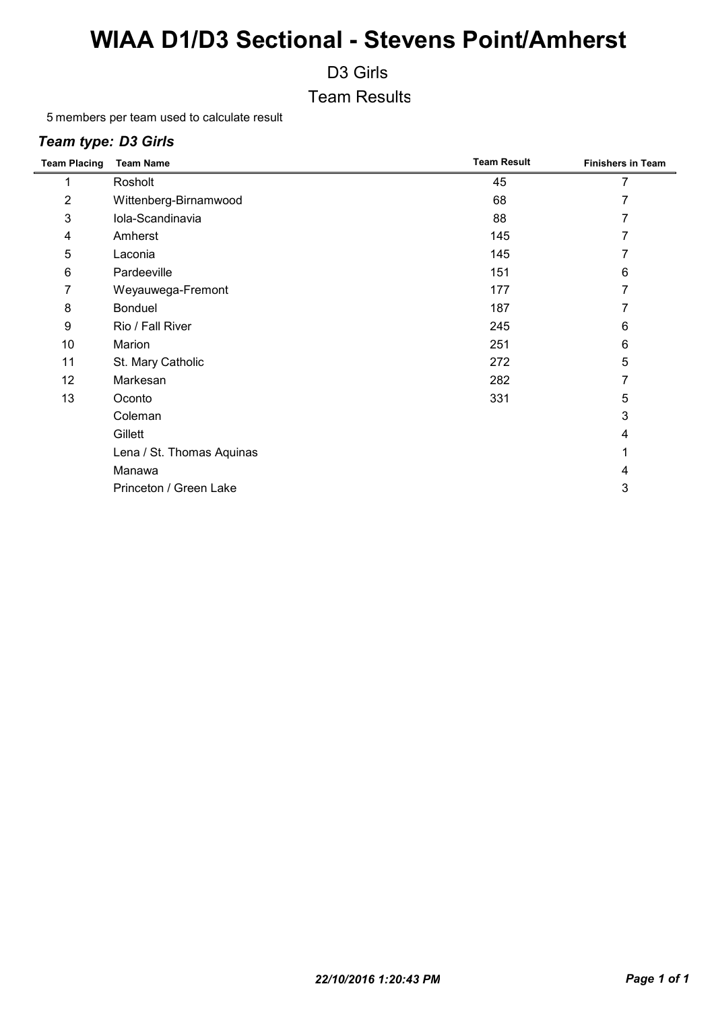D3 Girls

Team Results

5 members per team used to calculate result

#### *Team type: D3 Girls*

| <b>Team Placing</b> | <b>Team Name</b>          | <b>Team Result</b> | <b>Finishers in Team</b> |
|---------------------|---------------------------|--------------------|--------------------------|
|                     | Rosholt                   | 45                 |                          |
| 2                   | Wittenberg-Birnamwood     | 68                 | 7                        |
| 3                   | Iola-Scandinavia          | 88                 | 7                        |
| 4                   | Amherst                   | 145                | 7                        |
| 5                   | Laconia                   | 145                | 7                        |
| 6                   | Pardeeville               | 151                | 6                        |
| 7                   | Weyauwega-Fremont         | 177                | 7                        |
| 8                   | <b>Bonduel</b>            | 187                |                          |
| 9                   | Rio / Fall River          | 245                | 6                        |
| 10                  | Marion                    | 251                | 6                        |
| 11                  | St. Mary Catholic         | 272                | 5                        |
| 12                  | Markesan                  | 282                | 7                        |
| 13                  | Oconto                    | 331                | 5                        |
|                     | Coleman                   |                    | 3                        |
|                     | Gillett                   |                    | 4                        |
|                     | Lena / St. Thomas Aquinas |                    |                          |
|                     | Manawa                    |                    | 4                        |
|                     | Princeton / Green Lake    |                    | 3                        |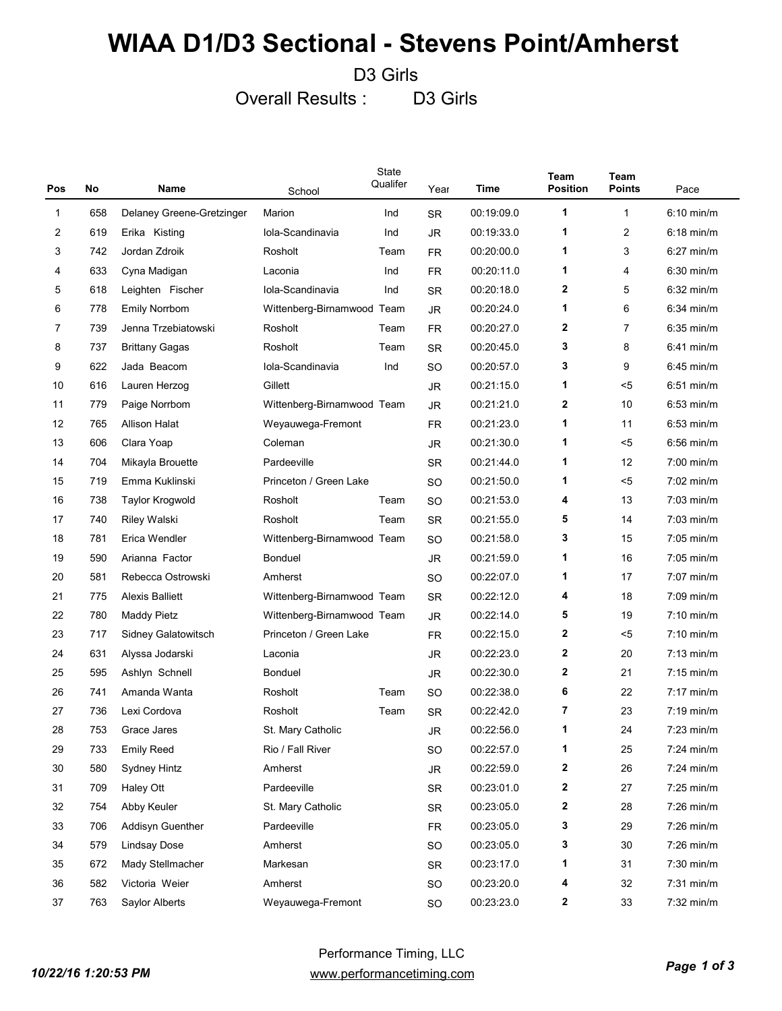D3 Girls

Overall Results : D3 Girls

| Pos | No<br>Name |                           | State<br>Qualifer<br>School |      | Year      | Time       | Team<br><b>Position</b> | Team<br><b>Points</b> | Pace                 |
|-----|------------|---------------------------|-----------------------------|------|-----------|------------|-------------------------|-----------------------|----------------------|
| 1   | 658        | Delaney Greene-Gretzinger | Marion                      | Ind  | <b>SR</b> | 00:19:09.0 | 1                       | 1                     | 6:10 min/m           |
| 2   | 619        | Erika Kisting             | Iola-Scandinavia            | Ind  | JR.       | 00:19:33.0 | 1                       | 2                     | $6:18$ min/m         |
| 3   | 742        | Jordan Zdroik             | Rosholt                     | Team | FR.       | 00:20:00.0 | 1                       | 3                     | $6:27$ min/m         |
| 4   | 633        | Cyna Madigan              | Laconia                     | Ind  | <b>FR</b> | 00:20:11.0 | 1                       | 4                     | $6:30$ min/m         |
| 5   | 618        | Leighten Fischer          | Iola-Scandinavia            | Ind  | <b>SR</b> | 00:20:18.0 | $\mathbf{2}$            | 5                     | $6:32$ min/m         |
| 6   | 778        | Emily Norrbom             | Wittenberg-Birnamwood Team  |      | <b>JR</b> | 00:20:24.0 | 1                       | 6                     | $6:34$ min/m         |
| 7   | 739        | Jenna Trzebiatowski       | Rosholt                     | Team | FR.       | 00:20:27.0 | $\mathbf{2}$            | $\overline{7}$        | $6:35$ min/m         |
| 8   | 737        | Brittany Gagas            | Rosholt                     | Team | <b>SR</b> | 00:20:45.0 | 3                       | 8                     | $6:41$ min/m         |
| 9   | 622        | Jada Beacom               | Iola-Scandinavia            | Ind  | <b>SO</b> | 00:20:57.0 | 3                       | 9                     | $6:45$ min/m         |
| 10  | 616        | Lauren Herzog             | Gillett                     |      | <b>JR</b> | 00:21:15.0 | 1                       | $5$                   | $6:51$ min/m         |
| 11  | 779        | Paige Norrbom             | Wittenberg-Birnamwood Team  |      | JR.       | 00:21:21.0 | $\mathbf{2}$            | 10                    | $6:53$ min/m         |
| 12  | 765        | Allison Halat             | Weyauwega-Fremont           |      | <b>FR</b> | 00:21:23.0 | 1                       | 11                    | $6:53$ min/m         |
| 13  | 606        | Clara Yoap                | Coleman                     |      | JR.       | 00:21:30.0 | 1                       | $5$                   | $6:56$ min/m         |
| 14  | 704        | Mikayla Brouette          | Pardeeville                 |      | <b>SR</b> | 00:21:44.0 | 1                       | 12                    | $7:00$ min/m         |
| 15  | 719        | Emma Kuklinski            | Princeton / Green Lake      |      | <b>SO</b> | 00:21:50.0 | 1                       | $5$                   | $7:02 \text{ min/m}$ |
| 16  | 738        | <b>Taylor Krogwold</b>    | Rosholt                     | Team | <b>SO</b> | 00:21:53.0 | 4                       | 13                    | $7:03$ min/m         |
| 17  | 740        | <b>Riley Walski</b>       | Rosholt                     | Team | <b>SR</b> | 00:21:55.0 | 5                       | 14                    | $7:03$ min/m         |
| 18  | 781        | Erica Wendler             | Wittenberg-Birnamwood Team  |      | <b>SO</b> | 00:21:58.0 | 3                       | 15                    | $7:05$ min/m         |
| 19  | 590        | Arianna Factor            | <b>Bonduel</b>              |      | JR.       | 00:21:59.0 | 1                       | 16                    | $7:05$ min/m         |
| 20  | 581        | Rebecca Ostrowski         | Amherst                     |      | <b>SO</b> | 00:22:07.0 | 1                       | 17                    | $7:07$ min/m         |
| 21  | 775        | <b>Alexis Balliett</b>    | Wittenberg-Birnamwood Team  |      | <b>SR</b> | 00:22:12.0 | 4                       | 18                    | $7:09$ min/m         |
| 22  | 780        | Maddy Pietz               | Wittenberg-Birnamwood Team  |      | <b>JR</b> | 00:22:14.0 | 5                       | 19                    | $7:10$ min/m         |
| 23  | 717        | Sidney Galatowitsch       | Princeton / Green Lake      |      | FR.       | 00:22:15.0 | $\mathbf{2}$            | $5$                   | $7:10$ min/m         |
| 24  | 631        | Alyssa Jodarski           | Laconia                     |      | JR.       | 00:22:23.0 | $\mathbf{2}$            | 20                    | $7:13$ min/m         |
| 25  | 595        | Ashlyn Schnell            | <b>Bonduel</b>              |      | <b>JR</b> | 00:22:30.0 | $\mathbf{2}$            | 21                    | $7:15 \text{ min/m}$ |
| 26  | 741        | Amanda Wanta              | Rosholt                     | Team | <b>SO</b> | 00:22:38.0 | 6                       | 22                    | $7:17$ min/m         |
| 27  | 736        | Lexi Cordova              | Rosholt                     | Team | SR.       | 00:22:42.0 | 7                       | 23                    | $7:19$ min/m         |
| 28  | 753        | Grace Jares               | St. Mary Catholic           |      | JR        | 00:22:56.0 | 1                       | 24                    | $7:23$ min/m         |
| 29  | 733        | <b>Emily Reed</b>         | Rio / Fall River            |      | SO        | 00:22:57.0 | 1                       | 25                    | 7:24 min/m           |
| 30  | 580        | Sydney Hintz              | Amherst                     |      | JR        | 00:22:59.0 | $\mathbf{z}$            | 26                    | 7:24 min/m           |
| 31  | 709        | Haley Ott                 | Pardeeville                 |      | SR        | 00:23:01.0 | 2                       | 27                    | $7:25$ min/m         |
| 32  | 754        | Abby Keuler               | St. Mary Catholic           |      | SR        | 00:23:05.0 | 2                       | 28                    | $7:26$ min/m         |
| 33  | 706        | Addisyn Guenther          | Pardeeville                 |      | <b>FR</b> | 00:23:05.0 | 3                       | 29                    | $7:26$ min/m         |
| 34  | 579        | <b>Lindsay Dose</b>       | Amherst                     |      | SO        | 00:23:05.0 | 3                       | 30                    | $7:26$ min/m         |
| 35  | 672        | Mady Stellmacher          | Markesan                    |      | SR        | 00:23:17.0 | 1                       | 31                    | $7:30$ min/m         |
| 36  | 582        | Victoria Weier            | Amherst                     |      | SO        | 00:23:20.0 | 4                       | 32                    | 7:31 min/m           |
| 37  | 763        | Saylor Alberts            | Weyauwega-Fremont           |      | SO        | 00:23:23.0 | $\mathbf 2$             | 33                    | $7:32$ min/m         |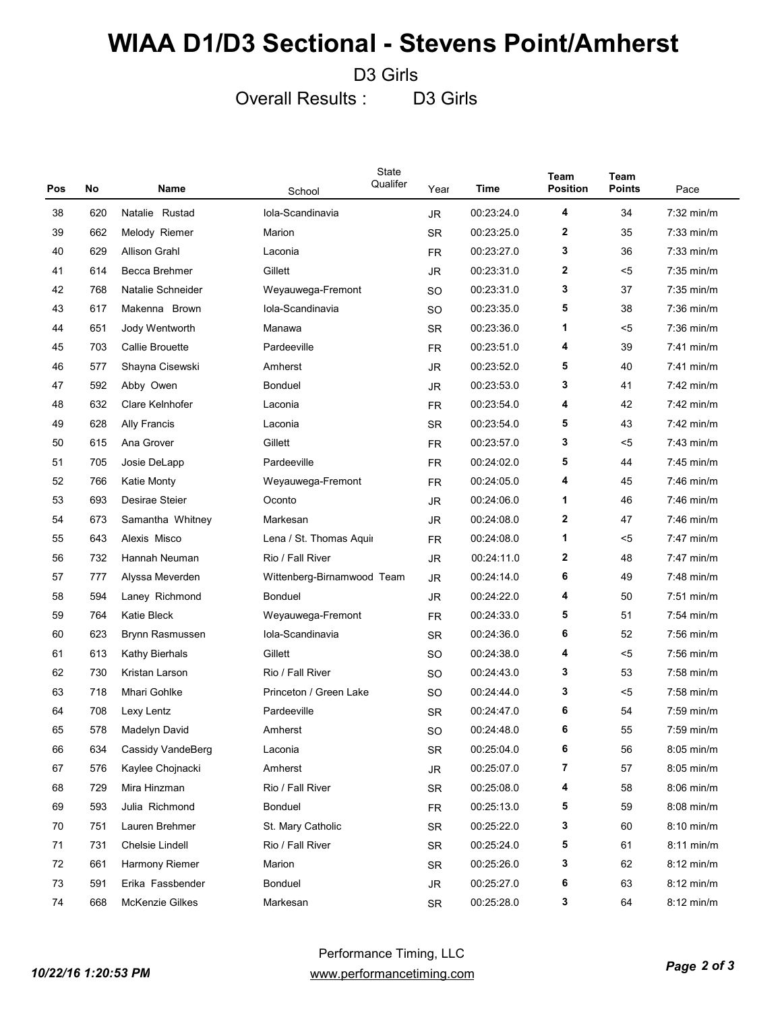D3 Girls

Overall Results : D3 Girls

| Pos | No  | Name                 | State<br>Qualifer<br>School | Year      | Time       | Team<br><b>Position</b> | <b>Team</b><br>Points | Pace         |
|-----|-----|----------------------|-----------------------------|-----------|------------|-------------------------|-----------------------|--------------|
| 38  | 620 | Natalie Rustad       | Iola-Scandinavia            | <b>JR</b> | 00:23:24.0 | 4                       | 34                    | $7:32$ min/m |
| 39  | 662 | Melody Riemer        | Marion                      | <b>SR</b> | 00:23:25.0 | 2                       | 35                    | $7:33$ min/m |
| 40  | 629 | <b>Allison Grahl</b> | Laconia                     | FR        | 00:23:27.0 | 3                       | 36                    | $7:33$ min/m |
| 41  | 614 | Becca Brehmer        | Gillett                     | <b>JR</b> | 00:23:31.0 | 2                       | $5$                   | $7:35$ min/m |
| 42  | 768 | Natalie Schneider    | Weyauwega-Fremont           | SO        | 00:23:31.0 | 3                       | 37                    | $7:35$ min/m |
| 43  | 617 | Makenna Brown        | Iola-Scandinavia            | SO        | 00:23:35.0 | 5                       | 38                    | $7:36$ min/m |
| 44  | 651 | Jody Wentworth       | Manawa                      | <b>SR</b> | 00:23:36.0 | 1                       | $5$                   | $7:36$ min/m |
| 45  | 703 | Callie Brouette      | Pardeeville                 | <b>FR</b> | 00:23:51.0 | 4                       | 39                    | $7:41$ min/m |
| 46  | 577 | Shayna Cisewski      | Amherst                     | <b>JR</b> | 00:23:52.0 | 5                       | 40                    | $7:41$ min/m |
| 47  | 592 | Abby Owen            | <b>Bonduel</b>              | <b>JR</b> | 00:23:53.0 | 3                       | 41                    | $7:42$ min/m |
| 48  | 632 | Clare Kelnhofer      | Laconia                     | FR.       | 00:23:54.0 | 4                       | 42                    | $7:42$ min/m |
| 49  | 628 | <b>Ally Francis</b>  | Laconia                     | <b>SR</b> | 00:23:54.0 | 5                       | 43                    | $7:42$ min/m |
| 50  | 615 | Ana Grover           | Gillett                     | FR        | 00:23:57.0 | 3                       | $5$                   | $7:43$ min/m |
| 51  | 705 | Josie DeLapp         | Pardeeville                 | <b>FR</b> | 00:24:02.0 | 5                       | 44                    | $7:45$ min/m |
| 52  | 766 | <b>Katie Monty</b>   | Weyauwega-Fremont           | FR        | 00:24:05.0 | 4                       | 45                    | $7:46$ min/m |
| 53  | 693 | Desirae Steier       | Oconto                      | <b>JR</b> | 00:24:06.0 | 1                       | 46                    | $7:46$ min/m |
| 54  | 673 | Samantha Whitney     | Markesan                    | <b>JR</b> | 00:24:08.0 | 2                       | 47                    | $7:46$ min/m |
| 55  | 643 | Alexis Misco         | Lena / St. Thomas Aquir     | <b>FR</b> | 00:24:08.0 | 1                       | <5                    | $7:47$ min/m |
| 56  | 732 | Hannah Neuman        | Rio / Fall River            | <b>JR</b> | 00:24:11.0 | 2                       | 48                    | $7:47$ min/m |
| 57  | 777 | Alyssa Meverden      | Wittenberg-Birnamwood Team  | <b>JR</b> | 00:24:14.0 | 6                       | 49                    | $7:48$ min/m |
| 58  | 594 | Laney Richmond       | <b>Bonduel</b>              | <b>JR</b> | 00:24:22.0 | 4                       | 50                    | $7:51$ min/m |
| 59  | 764 | Katie Bleck          | Weyauwega-Fremont           | <b>FR</b> | 00:24:33.0 | 5                       | 51                    | $7:54$ min/m |
| 60  | 623 | Brynn Rasmussen      | Iola-Scandinavia            | <b>SR</b> | 00:24:36.0 | 6                       | 52                    | $7:56$ min/m |
| 61  | 613 | Kathy Bierhals       | Gillett                     | SO        | 00:24:38.0 | 4                       | $5$                   | $7:56$ min/m |
| 62  | 730 | Kristan Larson       | Rio / Fall River            | SO        | 00:24:43.0 | 3                       | 53                    | $7:58$ min/m |
| 63  | 718 | Mhari Gohlke         | Princeton / Green Lake      | SO        | 00:24:44.0 | 3                       | $5$                   | $7:58$ min/m |
| 64  | 708 | Lexy Lentz           | Pardeeville                 | <b>SR</b> | 00:24:47.0 | 6                       | 54                    | $7:59$ min/m |
| 65  | 578 | Madelyn David        | Amherst                     | <b>SO</b> | 00:24:48.0 | 6                       | 55                    | $7:59$ min/m |
| 66  | 634 | Cassidy VandeBerg    | Laconia                     | SR        | 00:25:04.0 | 6                       | 56                    | 8:05 min/m   |
| 67  | 576 | Kaylee Chojnacki     | Amherst                     | JR        | 00:25:07.0 | 7                       | 57                    | 8:05 min/m   |
| 68  | 729 | Mira Hinzman         | Rio / Fall River            | SR        | 00:25:08.0 | 4                       | 58                    | 8:06 min/m   |
| 69  | 593 | Julia Richmond       | Bonduel                     | FR.       | 00:25:13.0 | 5                       | 59                    | 8:08 min/m   |
| 70  | 751 | Lauren Brehmer       | St. Mary Catholic           | SR        | 00:25:22.0 | 3                       | 60                    | $8:10$ min/m |
| 71  | 731 | Chelsie Lindell      | Rio / Fall River            | SR        | 00:25:24.0 | 5                       | 61                    | $8:11$ min/m |
| 72  | 661 | Harmony Riemer       | Marion                      | SR        | 00:25:26.0 | 3                       | 62                    | $8:12$ min/m |
| 73  | 591 | Erika Fassbender     | Bonduel                     | JR        | 00:25:27.0 | 6                       | 63                    | $8:12$ min/m |
| 74  | 668 | McKenzie Gilkes      | Markesan                    | SR        | 00:25:28.0 | 3                       | 64                    | 8:12 min/m   |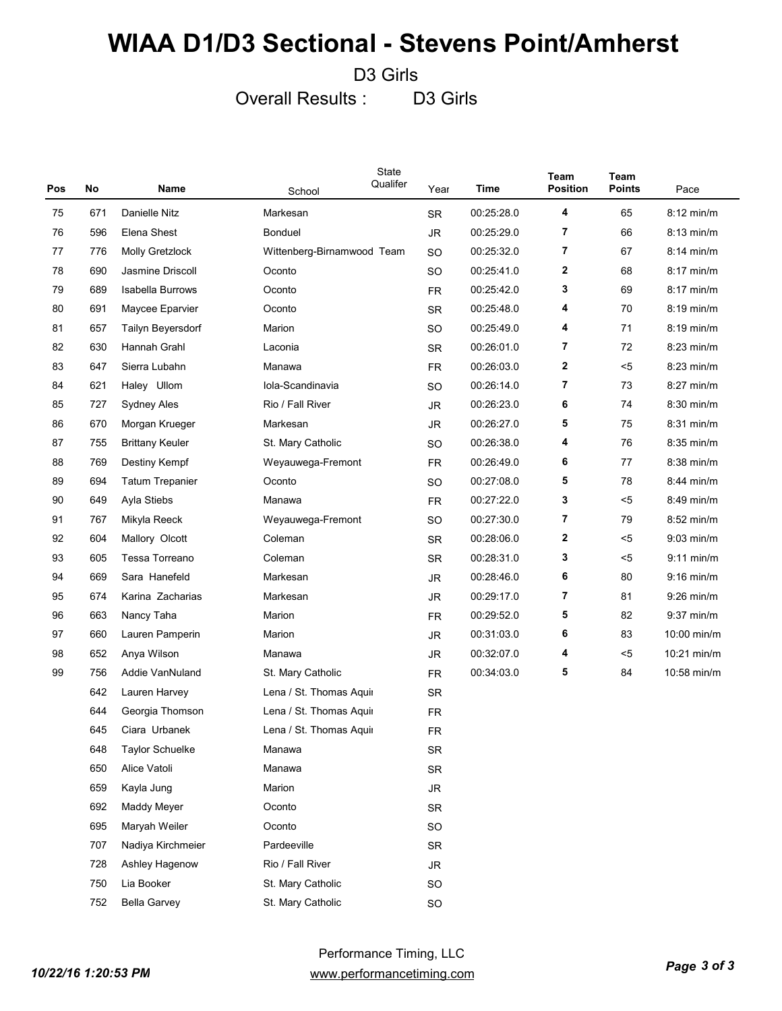D3 Girls

Overall Results : D3 Girls

| Pos | No  | Name                    | School                     | State<br>Qualifer | Year      | Time       | Team<br><b>Position</b> | <b>Team</b><br><b>Points</b> | Pace          |
|-----|-----|-------------------------|----------------------------|-------------------|-----------|------------|-------------------------|------------------------------|---------------|
| 75  | 671 | Danielle Nitz           | Markesan                   |                   | <b>SR</b> | 00:25:28.0 | 4                       | 65                           | 8:12 min/m    |
| 76  | 596 | Elena Shest             | <b>Bonduel</b>             |                   | JR.       | 00:25:29.0 | 7                       | 66                           | 8:13 min/m    |
| 77  | 776 | Molly Gretzlock         | Wittenberg-Birnamwood Team |                   | <b>SO</b> | 00:25:32.0 | 7                       | 67                           | $8:14$ min/m  |
| 78  | 690 | Jasmine Driscoll        | Oconto                     |                   | <b>SO</b> | 00:25:41.0 | 2                       | 68                           | $8:17$ min/m  |
| 79  | 689 | <b>Isabella Burrows</b> | Oconto                     |                   | <b>FR</b> | 00:25:42.0 | 3                       | 69                           | $8:17$ min/m  |
| 80  | 691 | Maycee Eparvier         | Oconto                     |                   | <b>SR</b> | 00:25:48.0 | 4                       | 70                           | $8:19$ min/m  |
| 81  | 657 | Tailyn Beyersdorf       | Marion                     |                   | <b>SO</b> | 00:25:49.0 | 4                       | 71                           | $8:19$ min/m  |
| 82  | 630 | Hannah Grahl            | Laconia                    |                   | <b>SR</b> | 00:26:01.0 | 7                       | 72                           | $8:23$ min/m  |
| 83  | 647 | Sierra Lubahn           | Manawa                     |                   | <b>FR</b> | 00:26:03.0 | 2                       | $5$                          | $8:23$ min/m  |
| 84  | 621 | Haley Ullom             | Iola-Scandinavia           |                   | <b>SO</b> | 00:26:14.0 | 7                       | 73                           | $8:27$ min/m  |
| 85  | 727 | Sydney Ales             | Rio / Fall River           |                   | JR.       | 00:26:23.0 | 6                       | 74                           | $8:30$ min/m  |
| 86  | 670 | Morgan Krueger          | Markesan                   |                   | JR.       | 00:26:27.0 | 5                       | 75                           | $8:31$ min/m  |
| 87  | 755 | <b>Brittany Keuler</b>  | St. Mary Catholic          |                   | <b>SO</b> | 00:26:38.0 | 4                       | 76                           | $8:35$ min/m  |
| 88  | 769 | Destiny Kempf           | Weyauwega-Fremont          |                   | <b>FR</b> | 00:26:49.0 | 6                       | 77                           | 8:38 min/m    |
| 89  | 694 | <b>Tatum Trepanier</b>  | Oconto                     |                   | <b>SO</b> | 00:27:08.0 | 5                       | 78                           | $8:44$ min/m  |
| 90  | 649 | Ayla Stiebs             | Manawa                     |                   | <b>FR</b> | 00:27:22.0 | 3                       | $5$                          | 8:49 min/m    |
| 91  | 767 | Mikyla Reeck            | Weyauwega-Fremont          |                   | <b>SO</b> | 00:27:30.0 | 7                       | 79                           | $8:52$ min/m  |
| 92  | 604 | Mallory Olcott          | Coleman                    |                   | <b>SR</b> | 00:28:06.0 | 2                       | $5$                          | $9:03$ min/m  |
| 93  | 605 | Tessa Torreano          | Coleman                    |                   | <b>SR</b> | 00:28:31.0 | 3                       | $5$                          | $9:11$ min/m  |
| 94  | 669 | Sara Hanefeld           | Markesan                   |                   | JR.       | 00:28:46.0 | 6                       | 80                           | $9:16$ min/m  |
| 95  | 674 | Karina Zacharias        | Markesan                   |                   | JR.       | 00:29:17.0 | 7                       | 81                           | $9:26$ min/m  |
| 96  | 663 | Nancy Taha              | Marion                     |                   | <b>FR</b> | 00:29:52.0 | 5                       | 82                           | $9:37$ min/m  |
| 97  | 660 | Lauren Pamperin         | Marion                     |                   | JR.       | 00:31:03.0 | 6                       | 83                           | 10:00 min/m   |
| 98  | 652 | Anya Wilson             | Manawa                     |                   | JR.       | 00:32:07.0 | 4                       | $5$                          | $10:21$ min/m |
| 99  | 756 | Addie VanNuland         | St. Mary Catholic          |                   | <b>FR</b> | 00:34:03.0 | 5                       | 84                           | 10:58 min/m   |
|     | 642 | Lauren Harvey           | Lena / St. Thomas Aquir    |                   | <b>SR</b> |            |                         |                              |               |
|     | 644 | Georgia Thomson         | Lena / St. Thomas Aquir    |                   | <b>FR</b> |            |                         |                              |               |
|     | 645 | Ciara Urbanek           | Lena / St. Thomas Aquir    |                   | <b>FR</b> |            |                         |                              |               |
|     | 648 | <b>Taylor Schuelke</b>  | Manawa                     |                   | <b>SR</b> |            |                         |                              |               |
|     | 650 | Alice Vatoli            | Manawa                     |                   | <b>SR</b> |            |                         |                              |               |
|     | 659 | Kayla Jung              | Marion                     |                   | JR        |            |                         |                              |               |
|     | 692 | Maddy Meyer             | Oconto                     |                   | <b>SR</b> |            |                         |                              |               |
|     | 695 | Maryah Weiler           | Oconto                     |                   | <b>SO</b> |            |                         |                              |               |
|     | 707 | Nadiya Kirchmeier       | Pardeeville                |                   | <b>SR</b> |            |                         |                              |               |
|     | 728 | Ashley Hagenow          | Rio / Fall River           |                   | JR        |            |                         |                              |               |
|     | 750 | Lia Booker              | St. Mary Catholic          |                   | <b>SO</b> |            |                         |                              |               |
|     | 752 | <b>Bella Garvey</b>     | St. Mary Catholic          |                   | SO        |            |                         |                              |               |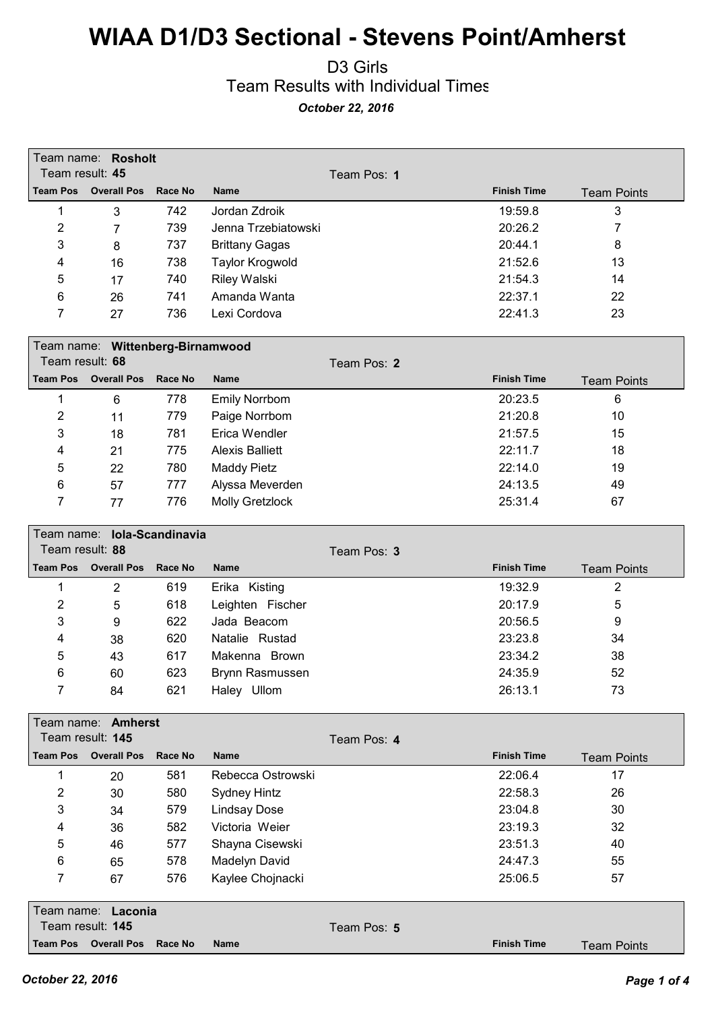#### D3 Girls Team Results with Individual Times *October 22, 2016*

| Team result: 45 | Team name: Rosholt               |         |                        | Team Pos: 1 |                    |                    |
|-----------------|----------------------------------|---------|------------------------|-------------|--------------------|--------------------|
| <b>Team Pos</b> | <b>Overall Pos</b>               | Race No | <b>Name</b>            |             | <b>Finish Time</b> | <b>Team Points</b> |
| 1               | 3                                | 742     | Jordan Zdroik          |             | 19:59.8            | 3                  |
| $\overline{c}$  | 7                                | 739     | Jenna Trzebiatowski    |             | 20:26.2            | 7                  |
| 3               | 8                                | 737     | <b>Brittany Gagas</b>  |             | 20:44.1            | 8                  |
| 4               | 16                               | 738     | <b>Taylor Krogwold</b> |             | 21:52.6            | 13                 |
| 5               | 17                               | 740     | <b>Riley Walski</b>    |             | 21:54.3            | 14                 |
| 6               | 26                               | 741     | Amanda Wanta           |             | 22:37.1            | 22                 |
| 7               | 27                               | 736     | Lexi Cordova           |             | 22:41.3            | 23                 |
|                 |                                  |         |                        |             |                    |                    |
|                 | Team name: Wittenberg-Birnamwood |         |                        |             |                    |                    |
| Team result: 68 |                                  |         |                        | Team Pos: 2 |                    |                    |
| <b>Team Pos</b> | <b>Overall Pos</b>               | Race No | <b>Name</b>            |             | <b>Finish Time</b> | <b>Team Points</b> |
| 1               | 6                                | 778     | <b>Emily Norrbom</b>   |             | 20:23.5            | 6                  |
| $\overline{2}$  | 11                               | 779     | Paige Norrbom          |             | 21:20.8            | 10                 |
| 3               | 18                               | 781     | Erica Wendler          |             | 21:57.5            | 15                 |
| 4               | 21                               | 775     | <b>Alexis Balliett</b> |             | 22:11.7            | 18                 |
| 5               | 22                               | 780     | <b>Maddy Pietz</b>     |             | 22:14.0            | 19                 |
| 6               | 57                               | 777     | Alyssa Meverden        |             | 24:13.5            | 49                 |
| 7               | 77                               | 776     | <b>Molly Gretzlock</b> |             | 25:31.4            | 67                 |
|                 |                                  |         |                        |             |                    |                    |
| Team result: 88 | Team name: lola-Scandinavia      |         |                        |             |                    |                    |
| <b>Team Pos</b> | <b>Overall Pos</b>               | Race No | <b>Name</b>            | Team Pos: 3 | <b>Finish Time</b> |                    |
|                 |                                  |         |                        |             |                    | <b>Team Points</b> |
| 1               | $\overline{2}$                   | 619     | Erika Kisting          |             | 19:32.9            | 2                  |
| $\overline{2}$  | 5                                | 618     | Leighten Fischer       |             | 20:17.9            | 5                  |
| 3               | 9                                | 622     | Jada Beacom            |             | 20:56.5            | 9                  |
| 4               | 38                               | 620     | Natalie Rustad         |             | 23:23.8            | 34                 |
| 5               | 43                               | 617     | Makenna Brown          |             | 23:34.2            | 38                 |
| 6               | 60                               | 623     | Brynn Rasmussen        |             | 24:35.9            | 52                 |
| 7               | 84                               | 621     | Haley Ullom            |             | 26:13.1            | 73                 |
|                 | Team name: <b>Amherst</b>        |         |                        |             |                    |                    |
|                 | Team result: 145                 |         |                        | Team Pos: 4 |                    |                    |
| <b>Team Pos</b> | <b>Overall Pos</b>               | Race No | Name                   |             | <b>Finish Time</b> | <b>Team Points</b> |
| 1               | 20                               | 581     | Rebecca Ostrowski      |             | 22:06.4            | 17                 |
| $\overline{2}$  | 30                               | 580     | Sydney Hintz           |             | 22:58.3            | 26                 |
| 3               | 34                               | 579     | <b>Lindsay Dose</b>    |             | 23:04.8            | 30                 |
| 4               | 36                               | 582     | Victoria Weier         |             | 23:19.3            | 32                 |
| 5               | 46                               | 577     | Shayna Cisewski        |             | 23:51.3            | 40                 |
| 6               | 65                               | 578     | Madelyn David          |             | 24:47.3            | 55                 |
| 7               | 67                               | 576     | Kaylee Chojnacki       |             | 25:06.5            | 57                 |
|                 |                                  |         |                        |             |                    |                    |
|                 | Team name: Laconia               |         |                        |             |                    |                    |
|                 | Team result: 145                 |         |                        | Team Pos: 5 |                    |                    |
| Team Pos        | <b>Overall Pos</b>               | Race No | Name                   |             | <b>Finish Time</b> | <b>Team Points</b> |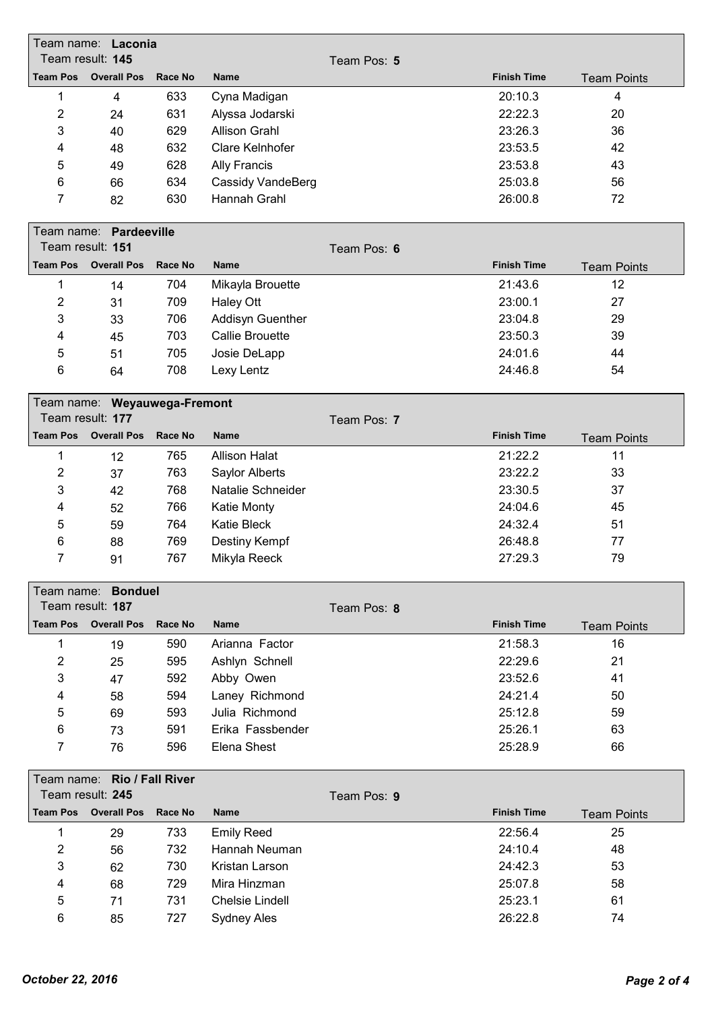|                           | Team name: Laconia           |         |                        |             |                    |                    |  |  |
|---------------------------|------------------------------|---------|------------------------|-------------|--------------------|--------------------|--|--|
|                           | Team result: 145             |         |                        | Team Pos: 5 |                    |                    |  |  |
| <b>Team Pos</b>           | <b>Overall Pos</b>           | Race No | <b>Name</b>            |             | <b>Finish Time</b> | <b>Team Points</b> |  |  |
| $\mathbf{1}$              | $\overline{4}$               | 633     | Cyna Madigan           |             | 20:10.3            | 4                  |  |  |
| 2                         | 24                           | 631     | Alyssa Jodarski        |             | 22:22.3            | 20                 |  |  |
| $\ensuremath{\mathsf{3}}$ | 40                           | 629     | <b>Allison Grahl</b>   |             | 23:26.3            | 36                 |  |  |
| 4                         | 48                           | 632     | Clare Kelnhofer        |             | 23:53.5            | 42                 |  |  |
| 5                         | 49                           | 628     | <b>Ally Francis</b>    |             | 23:53.8            | 43                 |  |  |
| 6                         | 66                           | 634     | Cassidy VandeBerg      |             | 25:03.8            | 56                 |  |  |
| 7                         | 82                           | 630     | Hannah Grahl           |             | 26:00.8            | 72                 |  |  |
|                           | Team name: Pardeeville       |         |                        |             |                    |                    |  |  |
|                           | Team result: 151             |         |                        | Team Pos: 6 |                    |                    |  |  |
| <b>Team Pos</b>           | <b>Overall Pos</b>           | Race No | <b>Name</b>            |             | <b>Finish Time</b> | <b>Team Points</b> |  |  |
| 1                         | 14                           | 704     | Mikayla Brouette       |             | 21:43.6            | 12                 |  |  |
| $\overline{2}$            | 31                           | 709     | <b>Haley Ott</b>       |             | 23:00.1            | 27                 |  |  |
| 3                         | 33                           | 706     | Addisyn Guenther       |             | 23:04.8            | 29                 |  |  |
| 4                         | 45                           | 703     | <b>Callie Brouette</b> |             | 23:50.3            | 39                 |  |  |
| 5                         | 51                           | 705     | Josie DeLapp           |             | 24:01.6            | 44                 |  |  |
| 6                         | 64                           | 708     | Lexy Lentz             |             | 24:46.8            | 54                 |  |  |
|                           |                              |         |                        |             |                    |                    |  |  |
|                           | Team name: Weyauwega-Fremont |         |                        |             |                    |                    |  |  |
|                           | Team result: 177             |         |                        | Team Pos: 7 |                    |                    |  |  |
| <b>Team Pos</b>           | <b>Overall Pos</b>           | Race No | <b>Name</b>            |             | <b>Finish Time</b> | <b>Team Points</b> |  |  |
| 1                         | 12                           | 765     | <b>Allison Halat</b>   |             | 21:22.2            | 11                 |  |  |
| $\overline{2}$            | 37                           | 763     | Saylor Alberts         |             | 23:22.2            | 33                 |  |  |
| 3                         | 42                           | 768     | Natalie Schneider      |             | 23:30.5            | 37                 |  |  |
| 4                         | 52                           | 766     | <b>Katie Monty</b>     |             | 24:04.6            | 45                 |  |  |
| 5                         | 59                           | 764     | <b>Katie Bleck</b>     |             | 24:32.4            | 51                 |  |  |
| 6                         | 88                           | 769     | Destiny Kempf          |             | 26:48.8            | 77                 |  |  |
| 7                         | 91                           | 767     | Mikyla Reeck           |             | 27:29.3            | 79                 |  |  |
|                           | Team name: <b>Bonduel</b>    |         |                        |             |                    |                    |  |  |
|                           | Team result: 187             |         |                        | Team Pos: 8 |                    |                    |  |  |
| <b>Team Pos</b>           | <b>Overall Pos</b>           | Race No | <b>Name</b>            |             | <b>Finish Time</b> | <b>Team Points</b> |  |  |
|                           |                              |         |                        |             |                    |                    |  |  |
| $\mathbf{1}$              | 19                           | 590     | Arianna Factor         |             | 21:58.3            | 16                 |  |  |
| $\overline{2}$            | 25                           | 595     | Ashlyn Schnell         |             | 22:29.6            | 21                 |  |  |
| 3                         | 47                           | 592     | Abby Owen              |             | 23:52.6            | 41                 |  |  |
| 4                         | 58                           | 594     | Laney Richmond         |             | 24:21.4            | 50                 |  |  |
| 5                         | 69                           | 593     | Julia Richmond         |             | 25:12.8            | 59                 |  |  |
| 6                         | 73                           | 591     | Erika Fassbender       |             | 25:26.1            | 63                 |  |  |
| 7                         | 76                           | 596     | Elena Shest            |             | 25:28.9            | 66                 |  |  |
|                           | Team name: Rio / Fall River  |         |                        |             |                    |                    |  |  |
|                           | Team result: 245             |         |                        | Team Pos: 9 |                    |                    |  |  |
| <b>Team Pos</b>           | <b>Overall Pos</b>           | Race No | <b>Name</b>            |             | <b>Finish Time</b> | <b>Team Points</b> |  |  |
| 1                         | 29                           | 733     | <b>Emily Reed</b>      |             | 22:56.4            | 25                 |  |  |
| $\overline{2}$            | 56                           | 732     | Hannah Neuman          |             | 24:10.4            | 48                 |  |  |
| 3                         | 62                           | 730     | Kristan Larson         |             | 24:42.3            | 53                 |  |  |
| 4                         | 68                           | 729     | Mira Hinzman           |             | 25:07.8            | 58                 |  |  |
| 5                         | 71                           | 731     | <b>Chelsie Lindell</b> |             | 25:23.1            | 61                 |  |  |
| 6                         | 85                           | 727     | Sydney Ales            |             | 26:22.8            | 74                 |  |  |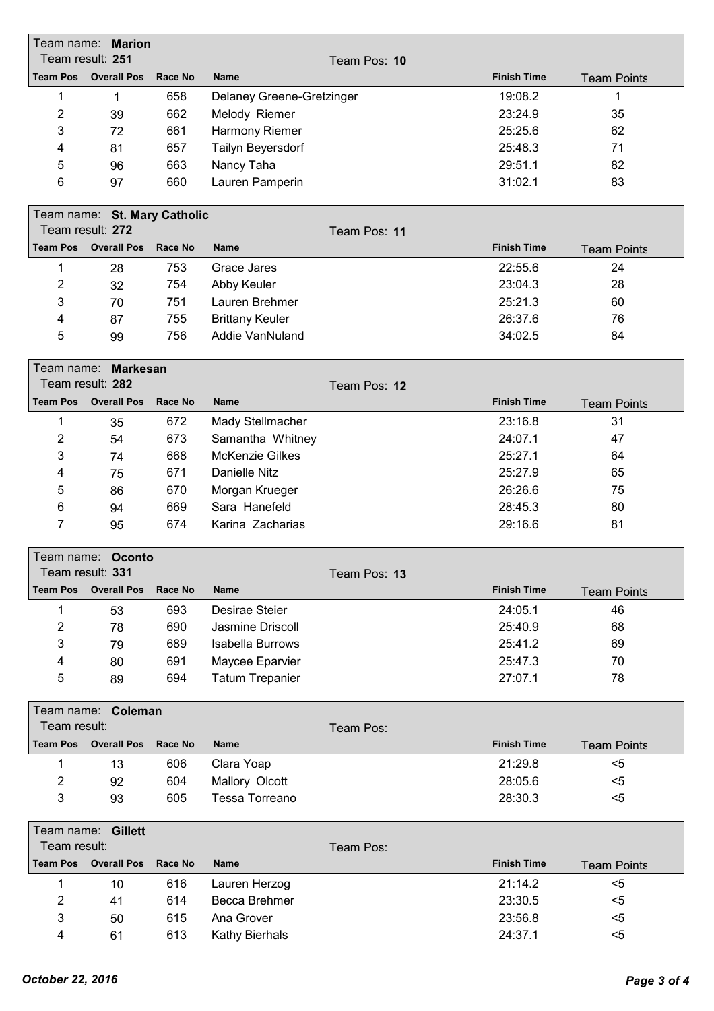|                 | Team name: <b>Marion</b>     |                |                           |              |                    |                    |
|-----------------|------------------------------|----------------|---------------------------|--------------|--------------------|--------------------|
|                 | Team result: 251             |                |                           | Team Pos: 10 |                    |                    |
|                 | <b>Team Pos</b> Overall Pos  | Race No        | <b>Name</b>               |              | <b>Finish Time</b> | <b>Team Points</b> |
| 1               | 1                            | 658            | Delaney Greene-Gretzinger |              | 19:08.2            | 1                  |
| 2               | 39                           | 662            | Melody Riemer             |              | 23:24.9            | 35                 |
| 3               | 72                           | 661            | Harmony Riemer            |              | 25:25.6            | 62                 |
| 4               | 81                           | 657            | Tailyn Beyersdorf         |              | 25:48.3            | 71                 |
| 5               | 96                           | 663            | Nancy Taha                |              | 29:51.1            | 82                 |
| 6               | 97                           | 660            | Lauren Pamperin           |              | 31:02.1            | 83                 |
|                 | Team name: St. Mary Catholic |                |                           |              |                    |                    |
|                 | Team result: 272             |                |                           | Team Pos: 11 |                    |                    |
|                 | <b>Team Pos Overall Pos</b>  | <b>Race No</b> | <b>Name</b>               |              | <b>Finish Time</b> | <b>Team Points</b> |
| 1               | 28                           | 753            | Grace Jares               |              | 22:55.6            | 24                 |
| 2               | 32                           | 754            | Abby Keuler               |              | 23:04.3            | 28                 |
| 3               | 70                           | 751            | Lauren Brehmer            |              | 25:21.3            | 60                 |
| 4               | 87                           | 755            | <b>Brittany Keuler</b>    |              | 26:37.6            | 76                 |
| 5               | 99                           | 756            | Addie VanNuland           |              | 34:02.5            | 84                 |
|                 | Team name: Markesan          |                |                           |              |                    |                    |
|                 | Team result: 282             |                |                           | Team Pos: 12 |                    |                    |
| <b>Team Pos</b> | <b>Overall Pos</b>           | Race No        | <b>Name</b>               |              | <b>Finish Time</b> | <b>Team Points</b> |
| 1               | 35                           | 672            | Mady Stellmacher          |              | 23:16.8            | 31                 |
| 2               | 54                           | 673            | Samantha Whitney          |              | 24:07.1            | 47                 |
| 3               | 74                           | 668            | <b>McKenzie Gilkes</b>    |              | 25:27.1            | 64                 |
| 4               | 75                           | 671            | <b>Danielle Nitz</b>      |              | 25:27.9            | 65                 |
| 5               | 86                           | 670            | Morgan Krueger            |              | 26:26.6            | 75                 |
| 6               | 94                           | 669            | Sara Hanefeld             |              | 28:45.3            | 80                 |
| 7               | 95                           | 674            | Karina Zacharias          |              | 29:16.6            | 81                 |
|                 |                              |                |                           |              |                    |                    |
|                 | Team name: Oconto            |                |                           |              |                    |                    |
|                 | Team result: 331             |                |                           | Team Pos: 13 |                    |                    |
| <b>Team Pos</b> | <b>Overall Pos</b>           | Race No        | <b>Name</b>               |              | <b>Finish Time</b> | <b>Team Points</b> |
| $\mathbf{1}$    | 53                           | 693            | Desirae Steier            |              | 24:05.1            | 46                 |
| $\overline{2}$  | 78                           | 690            | Jasmine Driscoll          |              | 25:40.9            | 68                 |
| 3               | 79                           | 689            | <b>Isabella Burrows</b>   |              | 25:41.2            | 69                 |
| 4               | 80                           | 691            | Maycee Eparvier           |              | 25:47.3            | 70                 |
| 5               | 89                           | 694            | <b>Tatum Trepanier</b>    |              | 27:07.1            | 78                 |
|                 | Team name: Coleman           |                |                           |              |                    |                    |
| Team result:    |                              |                |                           | Team Pos:    |                    |                    |
| <b>Team Pos</b> | <b>Overall Pos</b>           | <b>Race No</b> | <b>Name</b>               |              | <b>Finish Time</b> | <b>Team Points</b> |
| 1               | 13                           | 606            | Clara Yoap                |              | 21:29.8            | $5$                |
| $\overline{c}$  | 92                           | 604            | Mallory Olcott            |              | 28:05.6            | $5$                |
| 3               | 93                           | 605            | Tessa Torreano            |              | 28:30.3            | $5$                |
|                 | Team name: Gillett           |                |                           |              |                    |                    |
| Team result:    |                              |                |                           | Team Pos:    |                    |                    |
| <b>Team Pos</b> | <b>Overall Pos</b>           | <b>Race No</b> | <b>Name</b>               |              | <b>Finish Time</b> | <b>Team Points</b> |
| $\mathbf 1$     | 10                           | 616            | Lauren Herzog             |              | 21:14.2            | $5$                |
| 2               | 41                           | 614            | Becca Brehmer             |              | 23:30.5            | $5$                |
| 3               | 50                           | 615            | Ana Grover                |              | 23:56.8            | $5$                |
| 4               | 61                           | 613            | Kathy Bierhals            |              | 24:37.1            | $5$                |